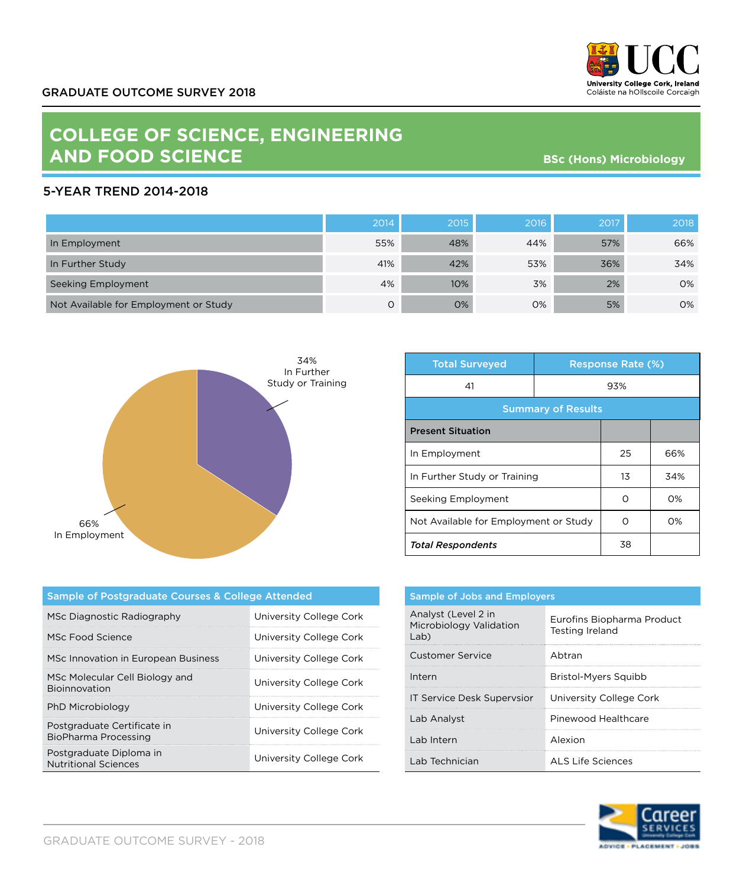

## **COLLEGE OF SCIENCE, ENGINEERING AND FOOD SCIENCE**

**BSc (Hons) Microbiology**

## 5-YEAR TREND 2014-2018

|                                       | 2014 | 2015 | 2016 | 2017 | 2018 |
|---------------------------------------|------|------|------|------|------|
| In Employment                         | 55%  | 48%  | 44%  | 57%  | 66%  |
| In Further Study                      | 41%  | 42%  | 53%  | 36%  | 34%  |
| Seeking Employment                    | 4%   | 10%  | 3%   | 2%   | 0%   |
| Not Available for Employment or Study | 0    | 0%   | 0%   | 5%   | 0%   |



| <b>Total Surveyed</b>                 |     | <b>Response Rate (%)</b> |       |  |
|---------------------------------------|-----|--------------------------|-------|--|
| 41                                    | 93% |                          |       |  |
| <b>Summary of Results</b>             |     |                          |       |  |
| <b>Present Situation</b>              |     |                          |       |  |
| In Employment                         |     | 25                       | 66%   |  |
| In Further Study or Training          |     | 13                       | 34%   |  |
| Seeking Employment                    |     | ∩                        | $O\%$ |  |
| Not Available for Employment or Study |     | ∩                        | $O\%$ |  |
| <b>Total Respondents</b>              |     | 38                       |       |  |

| Sample of Postgraduate Courses & College Attended      |                         |  |
|--------------------------------------------------------|-------------------------|--|
| MSc Diagnostic Radiography                             | University College Cork |  |
| MSc Food Science                                       | University College Cork |  |
| MSc Innovation in European Business                    | University College Cork |  |
| MSc Molecular Cell Biology and<br><b>Bioinnovation</b> | University College Cork |  |
| PhD Microbiology                                       | University College Cork |  |
| Postgraduate Certificate in<br>BioPharma Processing    | University College Cork |  |
| Postgraduate Diploma in<br><b>Nutritional Sciences</b> | University College Cork |  |

| <b>Sample of Jobs and Employers</b>                    |                                               |  |
|--------------------------------------------------------|-----------------------------------------------|--|
| Analyst (Level 2 in<br>Microbiology Validation<br>Lab) | Eurofins Biopharma Product<br>Testing Ireland |  |
| Customer Service                                       | Abtran                                        |  |
| Intern                                                 | Bristol-Myers Squibb                          |  |
| IT Service Desk Supervsior                             | University College Cork                       |  |
| Lab Analyst                                            | Pinewood Healthcare                           |  |
| Lab Intern                                             | Alexion                                       |  |
| Lab Technician                                         | ALS Life Sciences                             |  |